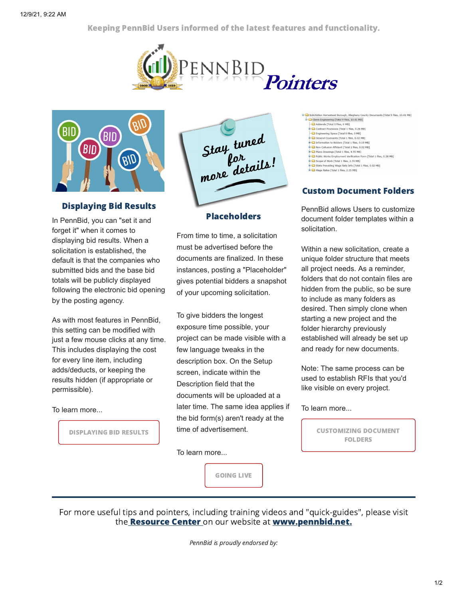Keeping PennBid Users informed of the latest features and functionality.





## Displaying Bid Results

In PennBid, you can "set it and forget it" when it comes to displaying bid results. When a solicitation is established, the default is that the companies who submitted bids and the base bid totals will be publicly displayed following the electronic bid opening by the posting agency.

As with most features in PennBid, this setting can be modified with just a few mouse clicks at any time. This includes displaying the cost for every line item, including adds/deducts, or keeping the results hidden (if appropriate or permissible).

To learn more...

DISPLAYING BID RESULTS

Stay tuned<br>por<br>more details!

## Placeholders

From time to time, a solicitation must be advertised before the documents are finalized. In these instances, posting a "Placeholder" gives potential bidders a snapshot of your upcoming solicitation.

To give bidders the longest exposure time possible, your project can be made visible with a few language tweaks in the description box. On the Setup screen, indicate within the Description field that the documents will be uploaded at a later time. The same idea applies if the bid form(s) aren't ready at the time of advertisement.

To learn more...

GOING LIVE

County Documents [Total 9 files, 10.41 MB] Glenn Engineering [Total 9 files, 10.41 MB] -C Addenda [Total 0 files, 0 MB] Contract Provisions [Total 1 files, 0.28 MB] Constitution of the Lines, and they<br>Constitute the Constitution of the Constitution of the Constitution<br>Prior Seneral Covenants [Total 1 files, 0.02 MB] nformation to Bidders [Total 1 files, 0.19 MB] Non-Collusion Affidavit [Total 1 files, 0.02 MB] Plans-Drawings [Total 1 files, 4.55 MB] ent Verification Form [Total 1 files, 0.28 MB] Public Works Employ Scope of Work [Total 1 files, 2.74 MB]

the accept of work [ rotal 1 mes, 2.74 mb]<br>
G a Caste Prevailing Wage Rate Info [ Total 1 files, 0.02 MB]<br>
G Castes (Total 1 files, 2.35 MB]

## Custom Document Folders

PennBid allows Users to customize document folder templates within a solicitation.

Within a new solicitation, create a unique folder structure that meets all project needs. As a reminder, folders that do not contain files are hidden from the public, so be sure to include as many folders as desired. Then simply clone when starting a new project and the folder hierarchy previously established will already be set up and ready for new documents.

Note: The same process can be used to establish RFIs that you'd like visible on every project.

## To learn more...

CUSTOMIZING DOCUMENT FOLDERS

For more useful tips and pointers, including training videos and "quick-guides", please visit the **Resource Center** on our website at **www.pennbid.net.** 

PennBid is proudly endorsed by: